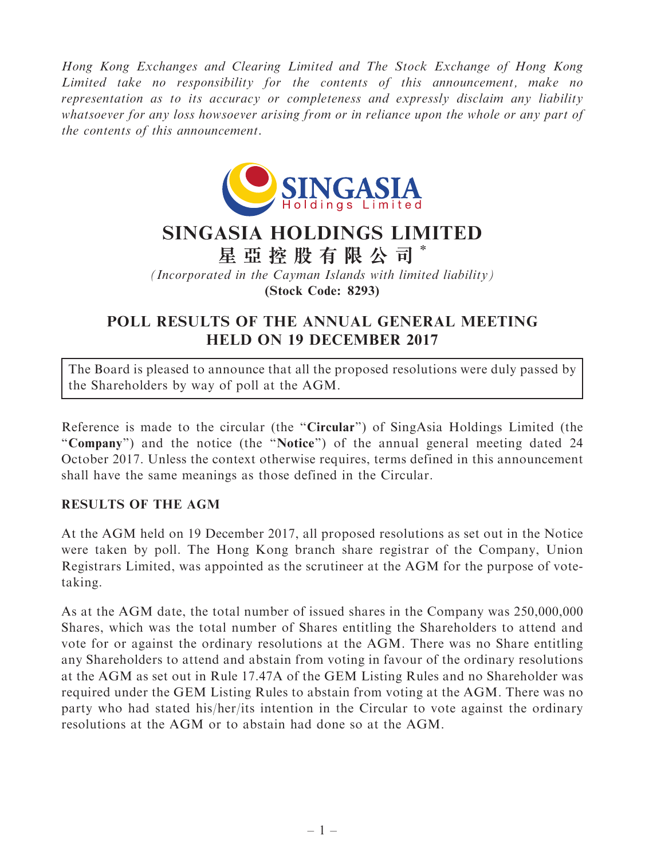Hong Kong Exchanges and Clearing Limited and The Stock Exchange of Hong Kong Limited take no responsibility for the contents of this announcement, make no representation as to its accuracy or completeness and expressly disclaim any liability whatsoever for any loss howsoever arising from or in reliance upon the whole or any part of the contents of this announcement.



## SINGASIA HOLDINGS LIMITED

星 亞 控 股 有 限 公 司 \*

(Incorporated in the Cayman Islands with limited liability) (Stock Code: 8293)

## POLL RESULTS OF THE ANNUAL GENERAL MEETING HELD ON 19 DECEMBER 2017

The Board is pleased to announce that all the proposed resolutions were duly passed by the Shareholders by way of poll at the AGM.

Reference is made to the circular (the "Circular") of SingAsia Holdings Limited (the ''Company'') and the notice (the ''Notice'') of the annual general meeting dated 24 October 2017. Unless the context otherwise requires, terms defined in this announcement shall have the same meanings as those defined in the Circular.

## RESULTS OF THE AGM

At the AGM held on 19 December 2017, all proposed resolutions as set out in the Notice were taken by poll. The Hong Kong branch share registrar of the Company, Union Registrars Limited, was appointed as the scrutineer at the AGM for the purpose of votetaking.

As at the AGM date, the total number of issued shares in the Company was 250,000,000 Shares, which was the total number of Shares entitling the Shareholders to attend and vote for or against the ordinary resolutions at the AGM. There was no Share entitling any Shareholders to attend and abstain from voting in favour of the ordinary resolutions at the AGM as set out in Rule 17.47A of the GEM Listing Rules and no Shareholder was required under the GEM Listing Rules to abstain from voting at the AGM. There was no party who had stated his/her/its intention in the Circular to vote against the ordinary resolutions at the AGM or to abstain had done so at the AGM.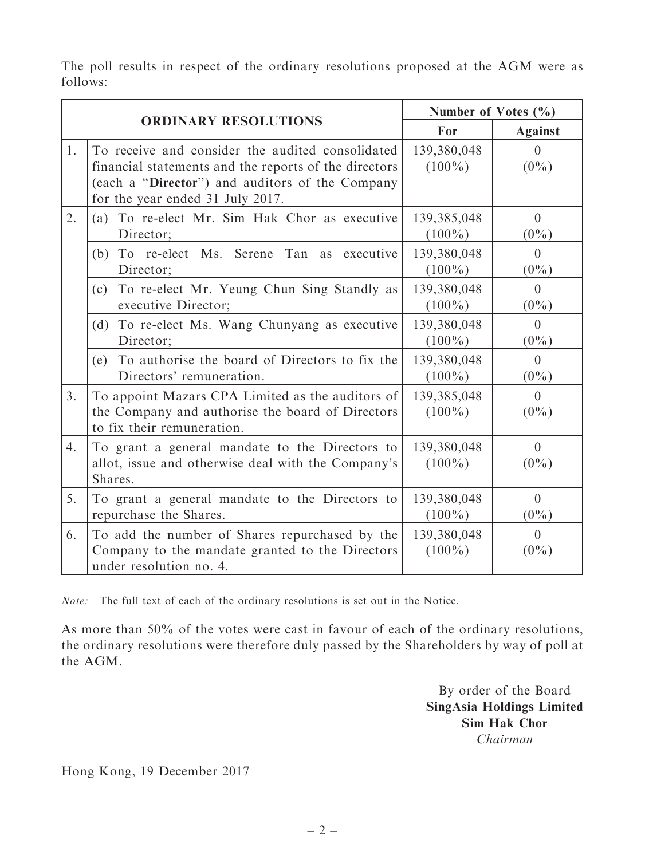The poll results in respect of the ordinary resolutions proposed at the AGM were as follows:

| <b>ORDINARY RESOLUTIONS</b> |                                                                                                                                                                                                  | Number of Votes $(\% )$  |                           |
|-----------------------------|--------------------------------------------------------------------------------------------------------------------------------------------------------------------------------------------------|--------------------------|---------------------------|
|                             |                                                                                                                                                                                                  | For                      | <b>Against</b>            |
| 1.                          | To receive and consider the audited consolidated<br>financial statements and the reports of the directors<br>(each a "Director") and auditors of the Company<br>for the year ended 31 July 2017. | 139,380,048<br>$(100\%)$ | $\overline{0}$<br>$(0\%)$ |
| 2.                          | To re-elect Mr. Sim Hak Chor as executive<br>(a)<br>Director;                                                                                                                                    | 139,385,048<br>$(100\%)$ | $\overline{0}$<br>$(0\%)$ |
|                             | To re-elect Ms.<br>Serene<br>Tan as executive<br>(b)<br>Director;                                                                                                                                | 139,380,048<br>$(100\%)$ | $\theta$<br>$(0\%)$       |
|                             | (c) To re-elect Mr. Yeung Chun Sing Standly as<br>executive Director;                                                                                                                            | 139,380,048<br>$(100\%)$ | $\theta$<br>$(0\%)$       |
|                             | To re-elect Ms. Wang Chunyang as executive<br>(d)<br>Director;                                                                                                                                   | 139,380,048<br>$(100\%)$ | $\Omega$<br>$(0\%)$       |
|                             | To authorise the board of Directors to fix the<br>(e)<br>Directors' remuneration.                                                                                                                | 139,380,048<br>$(100\%)$ | $\theta$<br>$(0\%)$       |
| 3.                          | To appoint Mazars CPA Limited as the auditors of<br>the Company and authorise the board of Directors<br>to fix their remuneration.                                                               | 139,385,048<br>$(100\%)$ | $\overline{0}$<br>$(0\%)$ |
| 4.                          | To grant a general mandate to the Directors to<br>allot, issue and otherwise deal with the Company's<br>Shares.                                                                                  | 139,380,048<br>$(100\%)$ | $\overline{0}$<br>$(0\%)$ |
| 5.                          | To grant a general mandate to the Directors to<br>repurchase the Shares.                                                                                                                         | 139,380,048<br>$(100\%)$ | $\theta$<br>$(0\%)$       |
| 6.                          | To add the number of Shares repurchased by the<br>Company to the mandate granted to the Directors<br>under resolution no. 4.                                                                     | 139,380,048<br>$(100\%)$ | $\theta$<br>$(0\%)$       |

Note: The full text of each of the ordinary resolutions is set out in the Notice.

As more than 50% of the votes were cast in favour of each of the ordinary resolutions, the ordinary resolutions were therefore duly passed by the Shareholders by way of poll at the AGM.

> By order of the Board SingAsia Holdings Limited Sim Hak Chor Chairman

Hong Kong, 19 December 2017